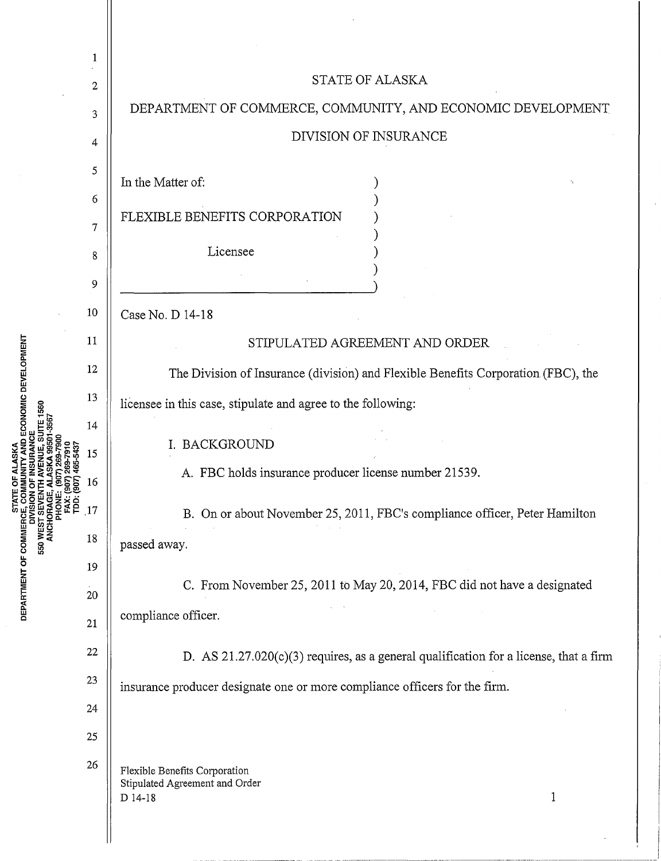| ECONOMIC DEVELOPMENT<br>ဥု<br>DEPARTMENT OF COMMERC<br>550 | 1            | <b>STATE OF ALASKA</b>                                                                    |
|------------------------------------------------------------|--------------|-------------------------------------------------------------------------------------------|
|                                                            | $\mathbf{2}$ | DEPARTMENT OF COMMERCE, COMMUNITY, AND ECONOMIC DEVELOPMENT                               |
|                                                            | 3            | DIVISION OF INSURANCE                                                                     |
|                                                            | 4            |                                                                                           |
|                                                            | 5            | In the Matter of:                                                                         |
|                                                            | 6            | FLEXIBLE BENEFITS CORPORATION                                                             |
|                                                            | 7            |                                                                                           |
|                                                            | 8            | Licensee                                                                                  |
|                                                            | 9            |                                                                                           |
|                                                            | 10           | Case No. D 14-18                                                                          |
|                                                            | 11           | STIPULATED AGREEMENT AND ORDER                                                            |
|                                                            | 12           | The Division of Insurance (division) and Flexible Benefits Corporation (FBC), the         |
|                                                            | 13           | licensee in this case, stipulate and agree to the following:                              |
|                                                            | 14           |                                                                                           |
|                                                            | 15           | I. BACKGROUND                                                                             |
|                                                            | 16           | A. FBC holds insurance producer license number 21539.                                     |
|                                                            | 17           | B. On or about November 25, 2011, FBC's compliance officer, Peter Hamilton                |
|                                                            | 18           | passed away.                                                                              |
|                                                            | 19           |                                                                                           |
|                                                            | 20           | C. From November 25, 2011 to May 20, 2014, FBC did not have a designated                  |
|                                                            | 21           | compliance officer.                                                                       |
|                                                            | 22           | D. AS $21.27.020(c)(3)$ requires, as a general qualification for a license, that a firm   |
|                                                            | 23           | insurance producer designate one or more compliance officers for the firm.                |
|                                                            | 24           |                                                                                           |
|                                                            | 25           |                                                                                           |
|                                                            | 26           | Flexible Benefits Corporation<br>Stipulated Agreement and Order<br>$\mathbf 1$<br>D 14-18 |
|                                                            |              |                                                                                           |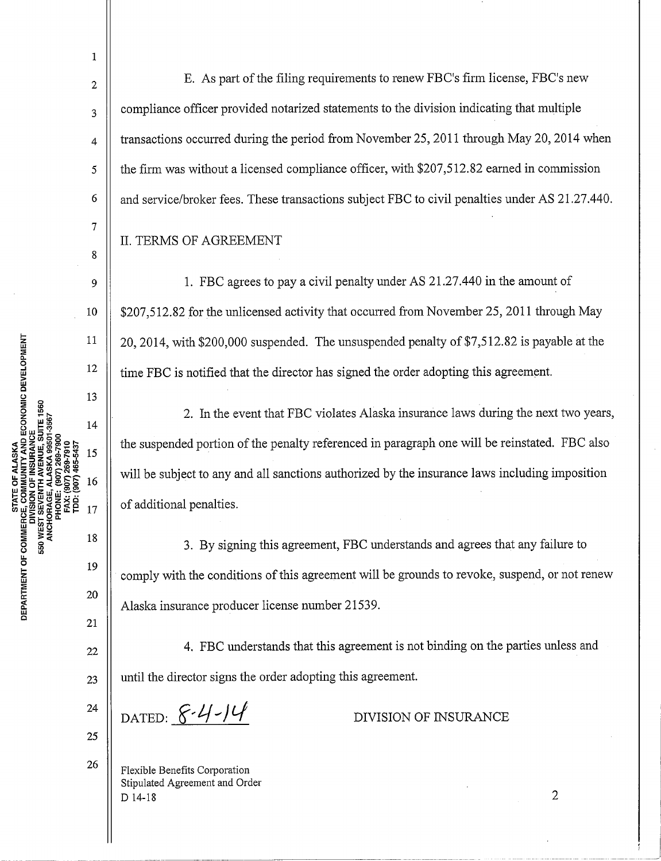1

2

3

4

8

ne.<br>C

E. As part of the filing requirements to renew FBC's firm license, FBC's new compliance officer provided notarized statements to the division indicating that multiple transactions occurred during the period from November 25, 2011 through May 20, 2014 when the firm was without a licensed compliance officer, with \$207,512.82 earned in commission and service/broker fees. These transactions subject FBC to civil penalties under AS 21.27.440.

## II. TERMS OF AGREEMENT

1. FBC agrees to pay a civil penalty under AS 21.27.440 in the amount of \$207,512.82 for the unlicensed activity that occurred from November 25, 2011 through May 20, 2014, with \$200,000 suspended. The unsuspended penalty of \$7,512.82 is payable at the time FBC is notified that the director has signed the order adopting this agreement.

2. In the event that FBC violates Alaska insurance laws during the next two years, the suspended portion of the penalty referenced in paragraph one will be reinstated. FBC also will be subject to any and all sanctions authorized by the insurance laws including imposition of additional penalties.

3. By signing this agreement, FBC understands and agrees that any failure to comply with the conditions of this agreement will be grounds to revoke, suspend, or not renew Alaska insurance producer license number 21539.

4. FBC understands that this agreement is not binding on the parties unless and until the director signs the order adopting this agreement.

·------·--~--.-----· ------------ ------

24 25

26

20

21

22

23

DATED:  $8 - 4 - 14$ 

DIVISION OF INSURANCE

Flexible Benefits Corporation Stipulated Agreement and Order D 14-18

2

 $\overline{\phantom{a}}$